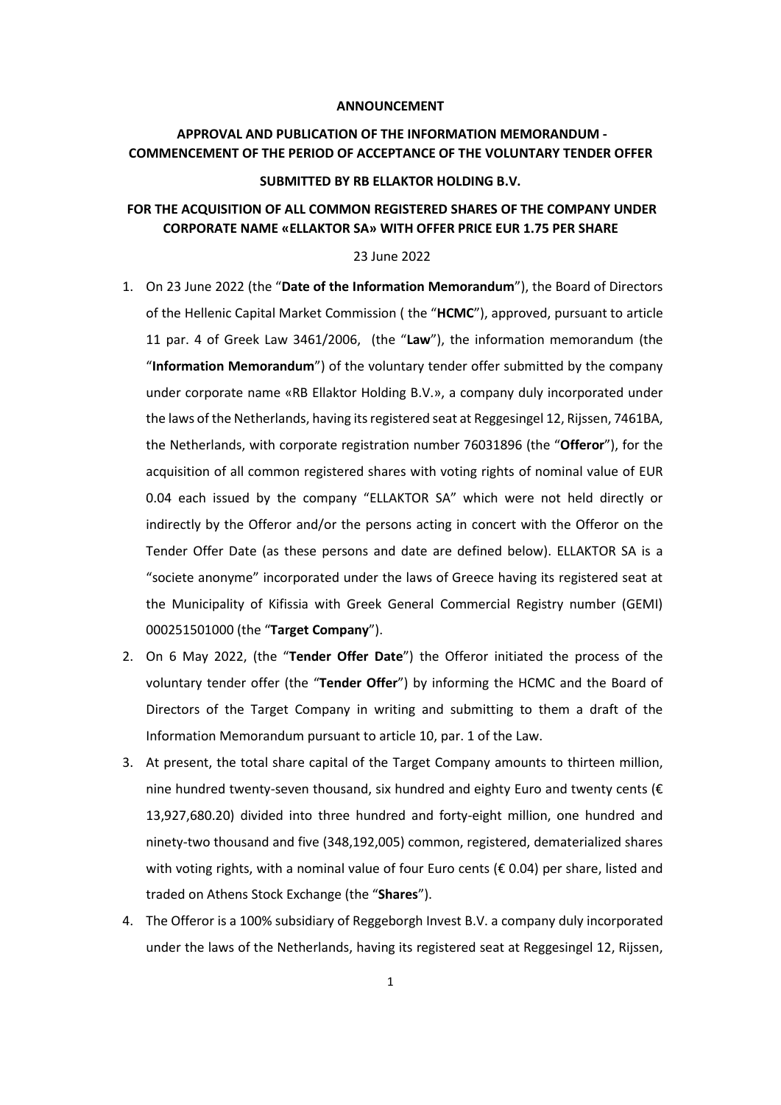### **ANNOUNCEMENT**

# **APPROVAL AND PUBLICATION OF THE INFORMATION MEMORANDUM - COMMENCEMENT OF THE PERIOD OF ACCEPTANCE OF THE VOLUNTARY TENDER OFFER**

### **SUBMITTED BY RB ELLAKTOR HOLDING B.V.**

## **FOR THE ACQUISITION OF ALL COMMON REGISTERED SHARES OF THE COMPANY UNDER CORPORATE NAME «ELLAKTOR SA» WITH OFFER PRICE EUR 1.75 PER SHARE**

#### 23 June 2022

- 1. On 23 June 2022 (the "**Date of the Information Memorandum**"), the Board of Directors of the Hellenic Capital Market Commission ( the "**HCMC**"), approved, pursuant to article 11 par. 4 of Greek Law 3461/2006, (the "**Law**"), the information memorandum (the "**Information Memorandum**") of the voluntary tender offer submitted by the company under corporate name «RB Ellaktor Holding B.V.», a company duly incorporated under the laws of the Netherlands, having its registered seat at Reggesingel 12, Rijssen, 7461BA, the Netherlands, with corporate registration number 76031896 (the "**Offeror**"), for the acquisition of all common registered shares with voting rights of nominal value of EUR 0.04 each issued by the company "ELLAKTOR SA" which were not held directly or indirectly by the Offeror and/or the persons acting in concert with the Offeror on the Tender Offer Date (as these persons and date are defined below). ELLAKTOR SA is a "societe anonyme" incorporated under the laws of Greece having its registered seat at the Municipality of Kifissia with Greek General Commercial Registry number (GEMI) 000251501000 (the "**Target Company**").
- 2. On 6 May 2022, (the "**Tender Offer Date**") the Offeror initiated the process of the voluntary tender offer (the "**Tender Offer**") by informing the HCMC and the Board of Directors of the Target Company in writing and submitting to them a draft of the Information Memorandum pursuant to article 10, par. 1 of the Law.
- 3. At present, the total share capital of the Target Company amounts to thirteen million, nine hundred twenty-seven thousand, six hundred and eighty Euro and twenty cents ( $\epsilon$ 13,927,680.20) divided into three hundred and forty-eight million, one hundred and ninety-two thousand and five (348,192,005) common, registered, dematerialized shares with voting rights, with a nominal value of four Euro cents ( $\epsilon$  0.04) per share, listed and traded on Athens Stock Exchange (the "**Shares**").
- 4. The Offeror is a 100% subsidiary of Reggeborgh Invest B.V. a company duly incorporated under the laws of the Netherlands, having its registered seat at Reggesingel 12, Rijssen,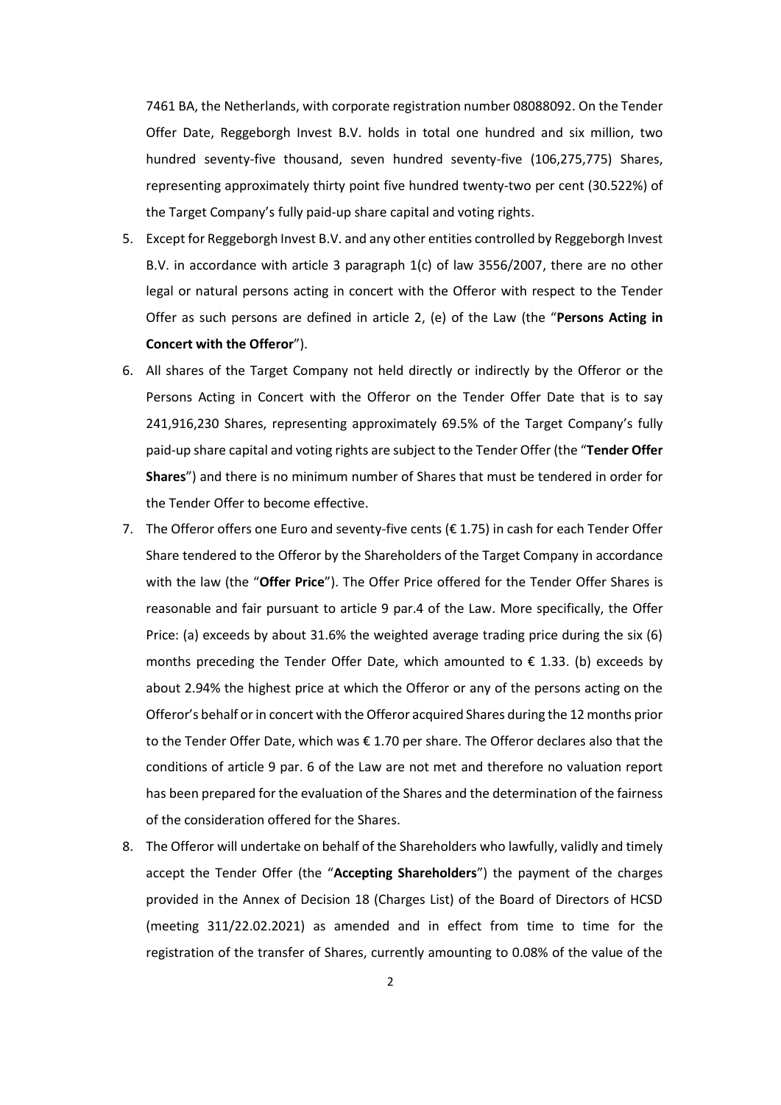7461 BA, the Netherlands, with corporate registration number 08088092. On the Tender Offer Date, Reggeborgh Invest B.V. holds in total one hundred and six million, two hundred seventy-five thousand, seven hundred seventy-five (106,275,775) Shares, representing approximately thirty point five hundred twenty-two per cent (30.522%) of the Target Company's fully paid-up share capital and voting rights.

- 5. Except for Reggeborgh Invest B.V. and any other entities controlled by Reggeborgh Invest B.V. in accordance with article 3 paragraph 1(c) of law 3556/2007, there are no other legal or natural persons acting in concert with the Offeror with respect to the Tender Offer as such persons are defined in article 2, (e) of the Law (the "**Persons Acting in Concert with the Offeror**").
- 6. All shares of the Target Company not held directly or indirectly by the Offeror or the Persons Acting in Concert with the Offeror on the Tender Offer Date that is to say 241,916,230 Shares, representing approximately 69.5% of the Target Company's fully paid-up share capital and voting rights are subject to the Tender Offer (the "**Tender Offer Shares**") and there is no minimum number of Shares that must be tendered in order for the Tender Offer to become effective.
- 7. The Offeror offers one Euro and seventy-five cents ( $\epsilon$  1.75) in cash for each Tender Offer Share tendered to the Offeror by the Shareholders of the Target Company in accordance with the law (the "**Offer Price**"). The Offer Price offered for the Tender Offer Shares is reasonable and fair pursuant to article 9 par.4 of the Law. More specifically, the Offer Price: (a) exceeds by about 31.6% the weighted average trading price during the six (6) months preceding the Tender Offer Date, which amounted to  $\epsilon$  1.33. (b) exceeds by about 2.94% the highest price at which the Offeror or any of the persons acting on the Offeror's behalf or in concert with the Offeror acquired Shares during the 12 months prior to the Tender Offer Date, which was € 1.70 per share. The Offeror declares also that the conditions of article 9 par. 6 of the Law are not met and therefore no valuation report has been prepared for the evaluation of the Shares and the determination of the fairness of the consideration offered for the Shares.
- 8. The Offeror will undertake on behalf of the Shareholders who lawfully, validly and timely accept the Tender Offer (the "**Accepting Shareholders**") the payment of the charges provided in the Annex of Decision 18 (Charges List) of the Board of Directors of HCSD (meeting 311/22.02.2021) as amended and in effect from time to time for the registration of the transfer of Shares, currently amounting to 0.08% of the value of the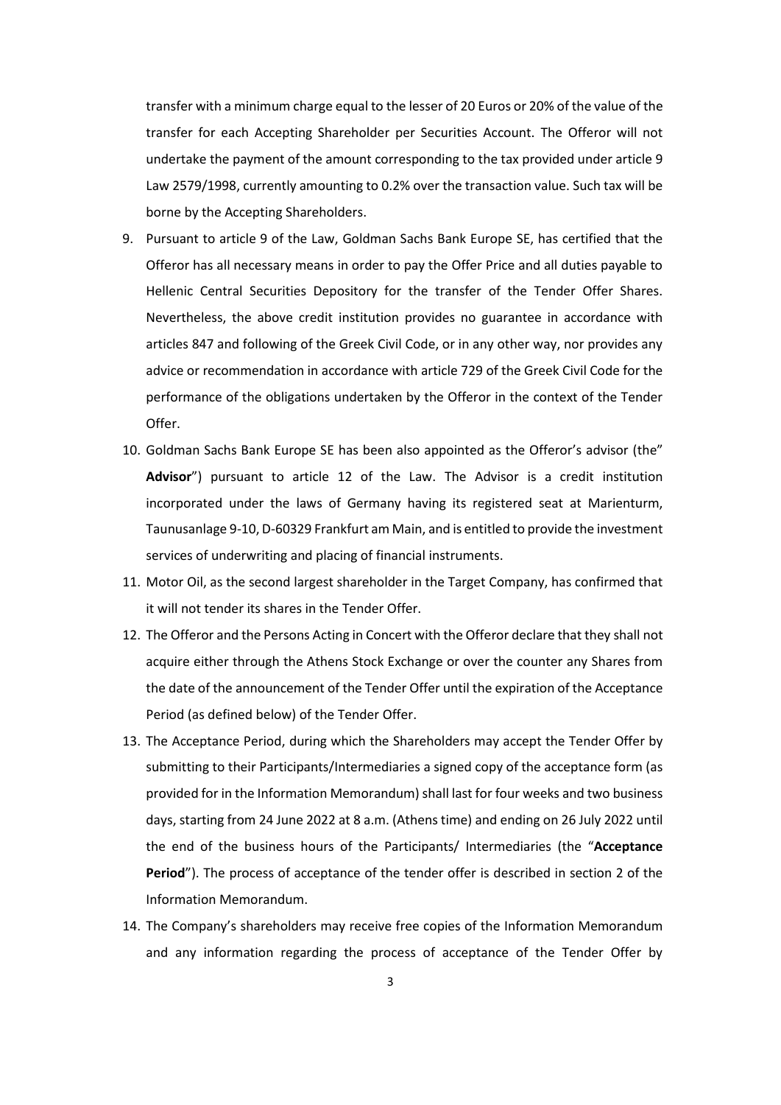transfer with a minimum charge equal to the lesser of 20 Euros or 20% of the value of the transfer for each Accepting Shareholder per Securities Account. The Offeror will not undertake the payment of the amount corresponding to the tax provided under article 9 Law 2579/1998, currently amounting to 0.2% over the transaction value. Such tax will be borne by the Accepting Shareholders.

- 9. Pursuant to article 9 of the Law, Goldman Sachs Bank Europe SE, has certified that the Offeror has all necessary means in order to pay the Offer Price and all duties payable to Hellenic Central Securities Depository for the transfer of the Tender Offer Shares. Nevertheless, the above credit institution provides no guarantee in accordance with articles 847 and following of the Greek Civil Code, or in any other way, nor provides any advice or recommendation in accordance with article 729 of the Greek Civil Code for the performance of the obligations undertaken by the Offeror in the context of the Tender Offer.
- 10. Goldman Sachs Bank Europe SE has been also appointed as the Offeror's advisor (the" **Advisor**") pursuant to article 12 of the Law. The Advisor is a credit institution incorporated under the laws of Germany having its registered seat at Marienturm, Taunusanlage 9-10, D-60329 Frankfurt am Main, and is entitled to provide the investment services of underwriting and placing of financial instruments.
- 11. Motor Oil, as the second largest shareholder in the Target Company, has confirmed that it will not tender its shares in the Tender Offer.
- 12. The Offeror and the Persons Acting in Concert with the Offeror declare that they shall not acquire either through the Athens Stock Exchange or over the counter any Shares from the date of the announcement of the Tender Offer until the expiration of the Acceptance Period (as defined below) of the Tender Offer.
- 13. The Acceptance Period, during which the Shareholders may accept the Tender Offer by submitting to their Participants/Intermediaries a signed copy of the acceptance form (as provided for in the Information Memorandum) shall last for four weeks and two business days, starting from 24 June 2022 at 8 a.m. (Athens time) and ending on 26 July 2022 until the end of the business hours of the Participants/ Intermediaries (the "**Acceptance Period**"). The process of acceptance of the tender offer is described in section 2 of the Information Memorandum.
- 14. The Company's shareholders may receive free copies of the Information Memorandum and any information regarding the process of acceptance of the Tender Offer by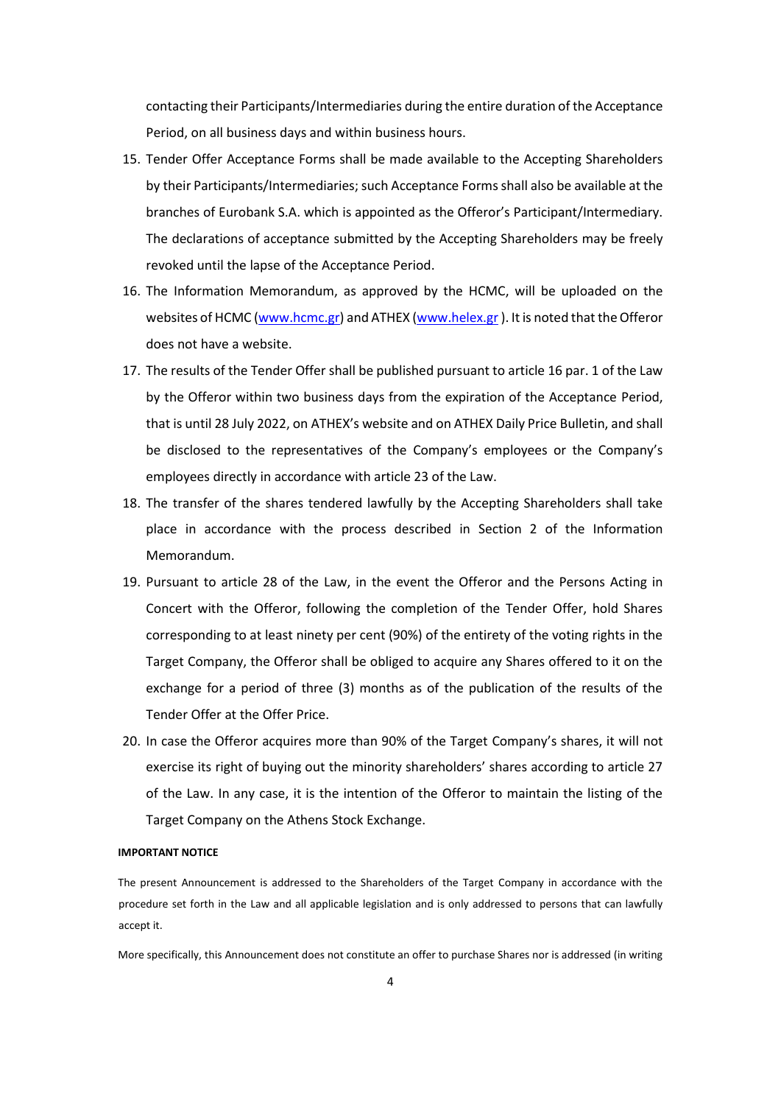contacting their Participants/Intermediaries during the entire duration of the Acceptance Period, on all business days and within business hours.

- 15. Tender Offer Acceptance Forms shall be made available to the Accepting Shareholders by their Participants/Intermediaries; such Acceptance Formsshall also be available at the branches of Eurobank S.A. which is appointed as the Offeror's Participant/Intermediary. The declarations of acceptance submitted by the Accepting Shareholders may be freely revoked until the lapse of the Acceptance Period.
- 16. The Information Memorandum, as approved by the HCMC, will be uploaded on the websites of HCMC [\(www.hcmc.gr\)](http://www.hcmc.gr/) and ATHEX [\(www.helex.gr](http://www.helex.gr/) ). It is noted that the Offeror does not have a website.
- 17. The results of the Tender Offer shall be published pursuant to article 16 par. 1 of the Law by the Offeror within two business days from the expiration of the Acceptance Period, that is until 28 July 2022, on ATHEX's website and on ATHEX Daily Price Bulletin, and shall be disclosed to the representatives of the Company's employees or the Company's employees directly in accordance with article 23 of the Law.
- 18. The transfer of the shares tendered lawfully by the Accepting Shareholders shall take place in accordance with the process described in Section 2 of the Information Memorandum.
- 19. Pursuant to article 28 of the Law, in the event the Offeror and the Persons Acting in Concert with the Offeror, following the completion of the Tender Offer, hold Shares corresponding to at least ninety per cent (90%) of the entirety of the voting rights in the Target Company, the Offeror shall be obliged to acquire any Shares offered to it on the exchange for a period of three (3) months as of the publication of the results of the Tender Offer at the Offer Price.
- 20. In case the Offeror acquires more than 90% of the Target Company's shares, it will not exercise its right of buying out the minority shareholders' shares according to article 27 of the Law. In any case, it is the intention of the Offeror to maintain the listing of the Target Company on the Athens Stock Exchange.

### **IMPORTANT NOTICE**

The present Announcement is addressed to the Shareholders of the Target Company in accordance with the procedure set forth in the Law and all applicable legislation and is only addressed to persons that can lawfully accept it.

More specifically, this Announcement does not constitute an offer to purchase Shares nor is addressed (in writing